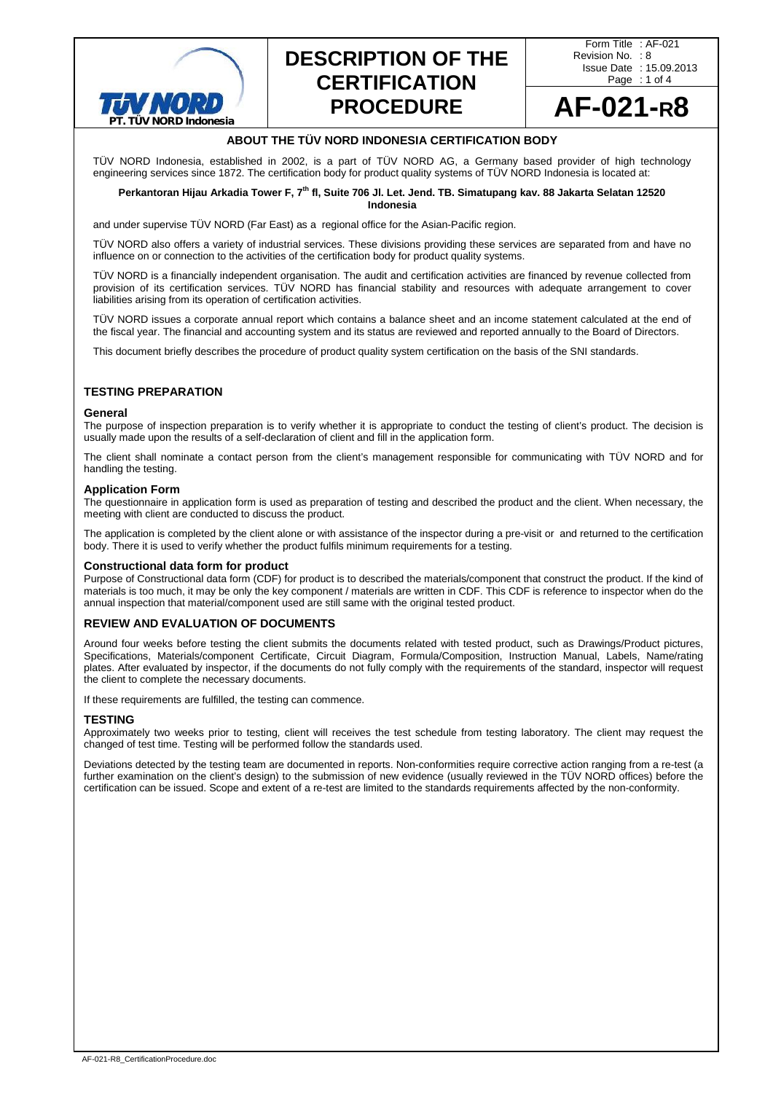

# **DESCRIPTION OF THE CERTIFICATION PROCEDURE**

Form Title : AF-021 Revision No. 3 Issue Date: 15.09. Page : 1 of 4 : 8 : 15.09.2013

**AF-021-R8**

## **ABOUT THE TÜV NORD INDONESIA CERTIFICATION BODY**

TÜV NORD Indonesia, established in 2002, is a part of TÜV NORD AG, a Germany based provider of high technology engineering services since 1872. The certification body for product quality systems of TÜV NORD Indonesia is located at:

**Perkantoran Hijau Arkadia Tower F, 7th fl, Suite 706 Jl. Let. Jend. TB. Simatupang kav. 88 Jakarta Selatan 12520 Indonesia**

and under supervise TÜV NORD (Far East) as a regional office for the Asian-Pacific region.

TÜV NORD also offers a variety of industrial services. These divisions providing these services are separated from and have no influence on or connection to the activities of the certification body for product quality systems.

TÜV NORD is a financially independent organisation. The audit and certification activities are financed by revenue collected from provision of its certification services. TÜV NORD has financial stability and resources with adequate arrangement to cover liabilities arising from its operation of certification activities.

TÜV NORD issues a corporate annual report which contains a balance sheet and an income statement calculated at the end of the fiscal year. The financial and accounting system and its status are reviewed and reported annually to the Board of Directors.

This document briefly describes the procedure of product quality system certification on the basis of the SNI standards.

# **TESTING PREPARATION**

#### **General**

The purpose of inspection preparation is to verify whether it is appropriate to conduct the testing of client's product. The decision is usually made upon the results of a self-declaration of client and fill in the application form.

The client shall nominate a contact person from the client's management responsible for communicating with TÜV NORD and for handling the testing.

#### **Application Form**

The questionnaire in application form is used as preparation of testing and described the product and the client. When necessary, the meeting with client are conducted to discuss the product.

The application is completed by the client alone or with assistance of the inspector during a pre-visit or and returned to the certification body. There it is used to verify whether the product fulfils minimum requirements for a testing.

#### **Constructional data form for product**

Purpose of Constructional data form (CDF) for product is to described the materials/component that construct the product. If the kind of materials is too much, it may be only the key component / materials are written in CDF. This CDF is reference to inspector when do the annual inspection that material/component used are still same with the original tested product.

## **REVIEW AND EVALUATION OF DOCUMENTS**

Around four weeks before testing the client submits the documents related with tested product, such as Drawings/Product pictures, Specifications, Materials/component Certificate, Circuit Diagram, Formula/Composition, Instruction Manual, Labels, Name/rating plates. After evaluated by inspector, if the documents do not fully comply with the requirements of the standard, inspector will request the client to complete the necessary documents.

If these requirements are fulfilled, the testing can commence.

## **TESTING**

Approximately two weeks prior to testing, client will receives the test schedule from testing laboratory. The client may request the changed of test time. Testing will be performed follow the standards used.

Deviations detected by the testing team are documented in reports. Non-conformities require corrective action ranging from a re-test (a further examination on the client's design) to the submission of new evidence (usually reviewed in the TÜV NORD offices) before the certification can be issued. Scope and extent of a re-test are limited to the standards requirements affected by the non-conformity.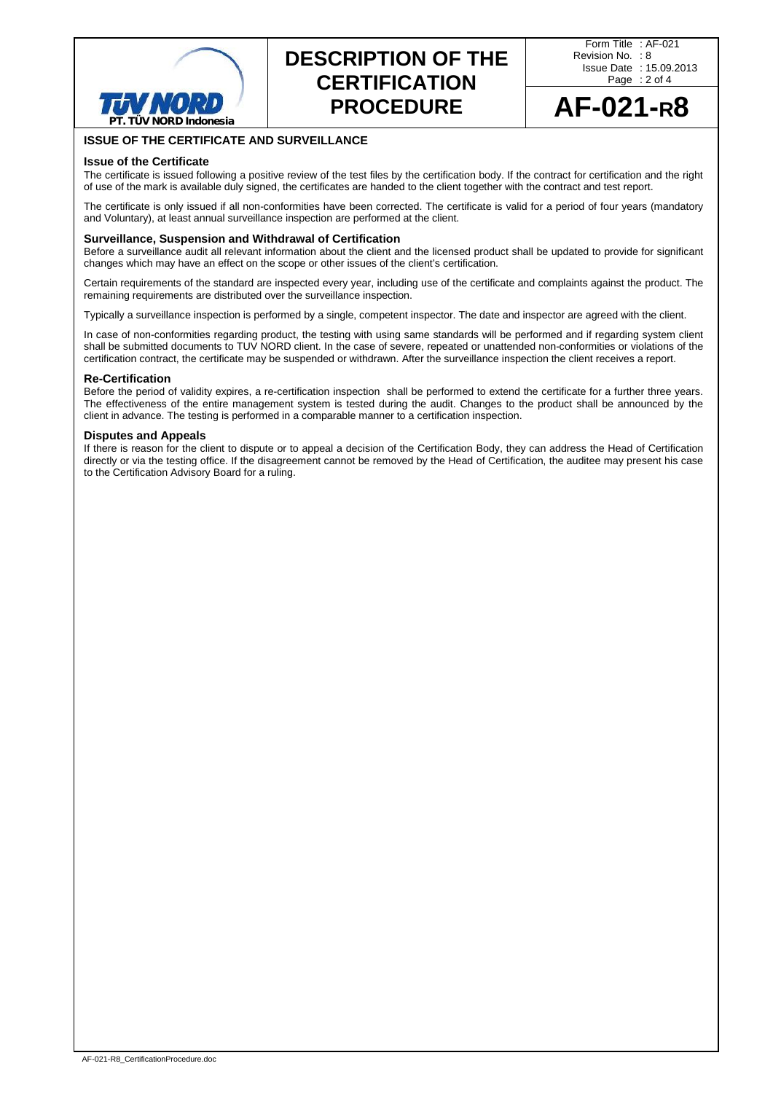

# **DESCRIPTION OF THE CERTIFICATION PROCEDURE**

Form Title : AF-021 Revision No. 3 Issue Date: 15.09. Page : 2 of 4 : 8 : 15.09.2013

**AF-021-R8**

# **ISSUE OF THE CERTIFICATE AND SURVEILLANCE**

#### **Issue of the Certificate**

The certificate is issued following a positive review of the test files by the certification body. If the contract for certification and the right of use of the mark is available duly signed, the certificates are handed to the client together with the contract and test report.

The certificate is only issued if all non-conformities have been corrected. The certificate is valid for a period of four years (mandatory and Voluntary), at least annual surveillance inspection are performed at the client.

### **Surveillance, Suspension and Withdrawal of Certification**

Before a surveillance audit all relevant information about the client and the licensed product shall be updated to provide for significant changes which may have an effect on the scope or other issues of the client's certification.

Certain requirements of the standard are inspected every year, including use of the certificate and complaints against the product. The remaining requirements are distributed over the surveillance inspection.

Typically a surveillance inspection is performed by a single, competent inspector. The date and inspector are agreed with the client.

In case of non-conformities regarding product, the testing with using same standards will be performed and if regarding system client shall be submitted documents to TUV NORD client. In the case of severe, repeated or unattended non-conformities or violations of the certification contract, the certificate may be suspended or withdrawn. After the surveillance inspection the client receives a report.

### **Re-Certification**

Before the period of validity expires, a re-certification inspection shall be performed to extend the certificate for a further three years. The effectiveness of the entire management system is tested during the audit. Changes to the product shall be announced by the client in advance. The testing is performed in a comparable manner to a certification inspection.

#### **Disputes and Appeals**

If there is reason for the client to dispute or to appeal a decision of the Certification Body, they can address the Head of Certification directly or via the testing office. If the disagreement cannot be removed by the Head of Certification, the auditee may present his case to the Certification Advisory Board for a ruling.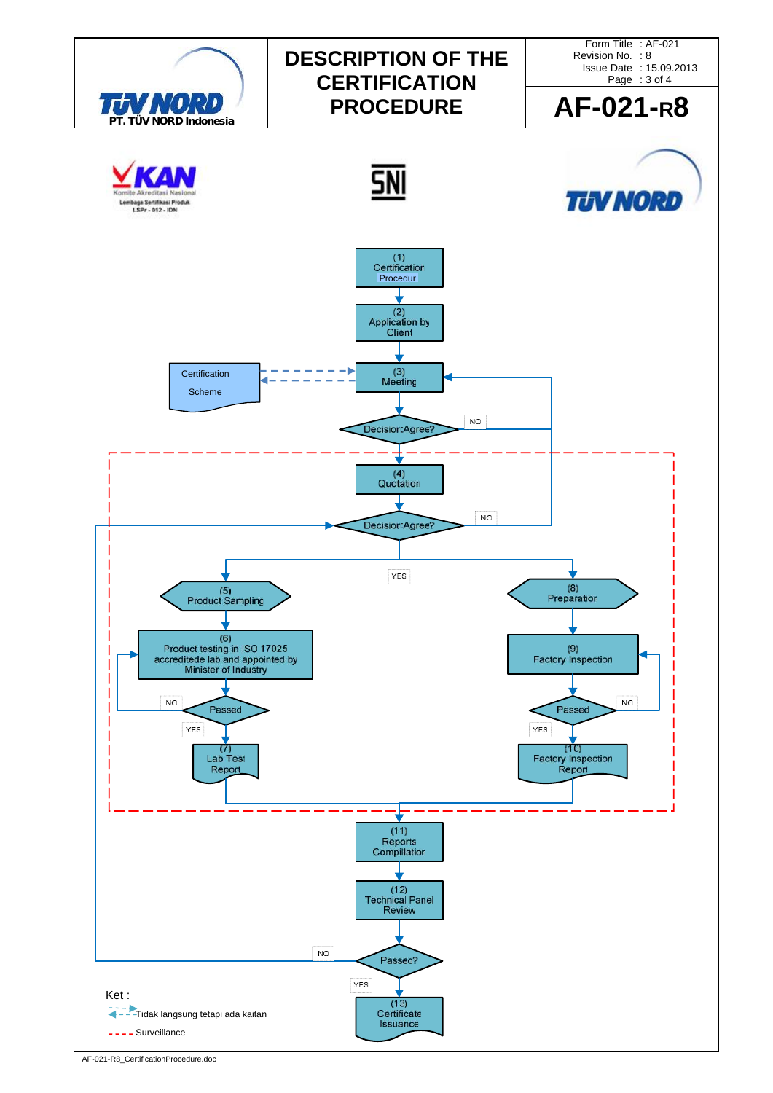

AF-021-R8\_CertificationProcedure.doc